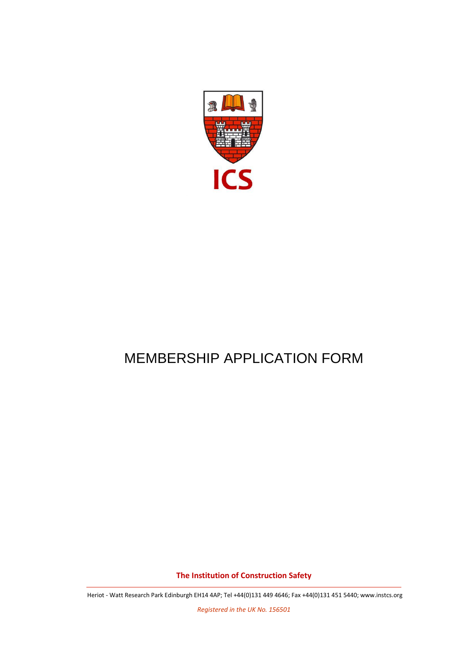

# MEMBERSHIP APPLICATION FORM

**The Institution of Construction Safety**

Heriot - Watt Research Park Edinburgh EH14 4AP; Tel +44(0)131 449 4646; Fax +44(0)131 451 5440[; www.instcs.org](http://www.instcs.org/)

*Registered in the UK No. 156501*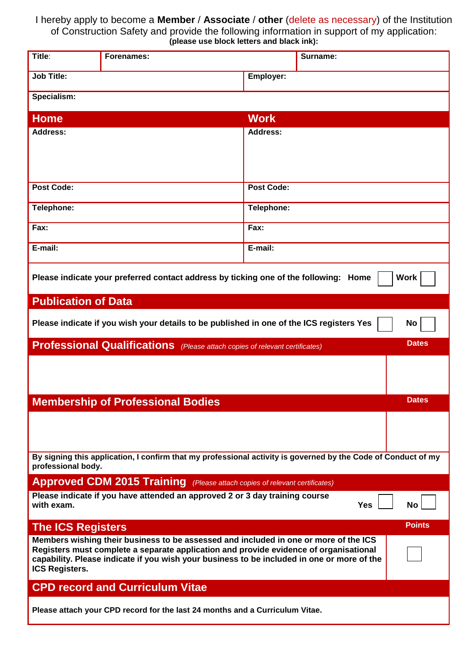## I hereby apply to become a **Member** / **Associate** / **other** (delete as necessary) of the Institution of Construction Safety and provide the following information in support of my application: **(please use block letters and black ink):**

| Title:                                            | <b>Forenames:</b>                                                                                                                                                                                                                                                           |                   | Surname:   |               |
|---------------------------------------------------|-----------------------------------------------------------------------------------------------------------------------------------------------------------------------------------------------------------------------------------------------------------------------------|-------------------|------------|---------------|
| <b>Job Title:</b>                                 |                                                                                                                                                                                                                                                                             | Employer:         |            |               |
| Specialism:                                       |                                                                                                                                                                                                                                                                             |                   |            |               |
|                                                   |                                                                                                                                                                                                                                                                             |                   |            |               |
| <b>Home</b>                                       |                                                                                                                                                                                                                                                                             | <b>Work</b>       |            |               |
| <b>Address:</b>                                   |                                                                                                                                                                                                                                                                             | <b>Address:</b>   |            |               |
| <b>Post Code:</b>                                 |                                                                                                                                                                                                                                                                             | <b>Post Code:</b> |            |               |
| Telephone:                                        |                                                                                                                                                                                                                                                                             | Telephone:        |            |               |
| Fax:                                              |                                                                                                                                                                                                                                                                             | Fax:              |            |               |
| E-mail:                                           |                                                                                                                                                                                                                                                                             | $E$ -mail:        |            |               |
|                                                   | Please indicate your preferred contact address by ticking one of the following: Home                                                                                                                                                                                        |                   |            | Work          |
| <b>Publication of Data</b>                        |                                                                                                                                                                                                                                                                             |                   |            |               |
|                                                   | Please indicate if you wish your details to be published in one of the ICS registers Yes                                                                                                                                                                                    |                   |            | No            |
|                                                   |                                                                                                                                                                                                                                                                             |                   |            |               |
|                                                   | <b>Professional Qualifications</b> (Please attach copies of relevant certificates)                                                                                                                                                                                          |                   |            | <b>Dates</b>  |
|                                                   |                                                                                                                                                                                                                                                                             |                   |            |               |
|                                                   | <b>Membership of Professional Bodies</b>                                                                                                                                                                                                                                    |                   |            | <b>Dates</b>  |
|                                                   |                                                                                                                                                                                                                                                                             |                   |            |               |
| professional body.                                | By signing this application, I confirm that my professional activity is governed by the Code of Conduct of my                                                                                                                                                               |                   |            |               |
|                                                   | <b>Approved CDM 2015 Training</b> (Please attach copies of relevant certificates)                                                                                                                                                                                           |                   |            |               |
| with exam.                                        | Please indicate if you have attended an approved 2 or 3 day training course                                                                                                                                                                                                 |                   | <b>Yes</b> | <b>No</b>     |
|                                                   |                                                                                                                                                                                                                                                                             |                   |            | <b>Points</b> |
| <b>The ICS Registers</b><br><b>ICS Registers.</b> | Members wishing their business to be assessed and included in one or more of the ICS<br>Registers must complete a separate application and provide evidence of organisational<br>capability. Please indicate if you wish your business to be included in one or more of the |                   |            |               |
|                                                   | <b>CPD record and Curriculum Vitae</b>                                                                                                                                                                                                                                      |                   |            |               |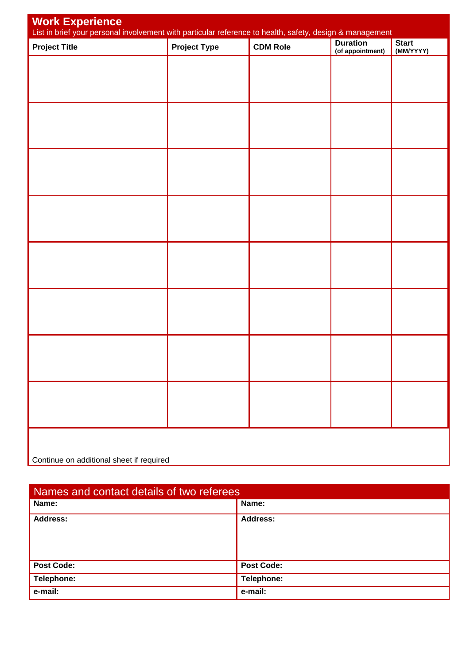| Work Experience<br>List in brief your personal involvement with particular reference to health, safety, design & management |                     |                 |                                     |                           |  |  |
|-----------------------------------------------------------------------------------------------------------------------------|---------------------|-----------------|-------------------------------------|---------------------------|--|--|
| <b>Project Title</b>                                                                                                        | <b>Project Type</b> | <b>CDM Role</b> | <b>Duration</b><br>(of appointment) | <b>Start</b><br>(MM/YYYY) |  |  |
|                                                                                                                             |                     |                 |                                     |                           |  |  |
|                                                                                                                             |                     |                 |                                     |                           |  |  |
|                                                                                                                             |                     |                 |                                     |                           |  |  |
|                                                                                                                             |                     |                 |                                     |                           |  |  |
|                                                                                                                             |                     |                 |                                     |                           |  |  |
|                                                                                                                             |                     |                 |                                     |                           |  |  |
|                                                                                                                             |                     |                 |                                     |                           |  |  |
|                                                                                                                             |                     |                 |                                     |                           |  |  |
|                                                                                                                             |                     |                 |                                     |                           |  |  |
|                                                                                                                             |                     |                 |                                     |                           |  |  |
|                                                                                                                             |                     |                 |                                     |                           |  |  |
|                                                                                                                             |                     |                 |                                     |                           |  |  |
|                                                                                                                             |                     |                 |                                     |                           |  |  |
|                                                                                                                             |                     |                 |                                     |                           |  |  |
|                                                                                                                             |                     |                 |                                     |                           |  |  |
|                                                                                                                             |                     |                 |                                     |                           |  |  |
|                                                                                                                             |                     |                 |                                     |                           |  |  |
| Continue on additional sheet if required                                                                                    |                     |                 |                                     |                           |  |  |

| Names and contact details of two referees |                   |  |  |
|-------------------------------------------|-------------------|--|--|
| Name:                                     | Name:             |  |  |
| <b>Address:</b>                           | <b>Address:</b>   |  |  |
| <b>Post Code:</b>                         | <b>Post Code:</b> |  |  |
| Telephone:                                | Telephone:        |  |  |
| e-mail:                                   | e-mail:           |  |  |